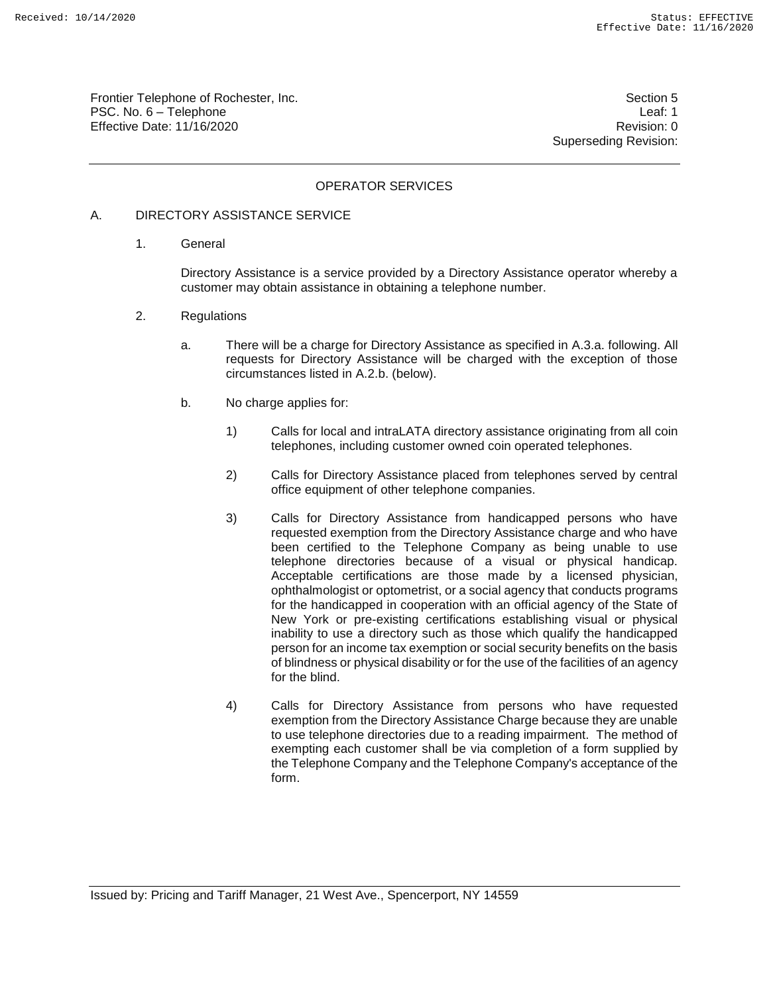Frontier Telephone of Rochester, Inc. Section 5 PSC. No. 6 – Telephone Leaf: 1 Effective Date: 11/16/2020 **Review Accounts** Effective Date: 0

Superseding Revision:

## OPERATOR SERVICES

### A. DIRECTORY ASSISTANCE SERVICE

1. General

Directory Assistance is a service provided by a Directory Assistance operator whereby a customer may obtain assistance in obtaining a telephone number.

- 2. Regulations
	- a. There will be a charge for Directory Assistance as specified in A.3.a. following. All requests for Directory Assistance will be charged with the exception of those circumstances listed in A.2.b. (below).
	- b. No charge applies for:
		- 1) Calls for local and intraLATA directory assistance originating from all coin telephones, including customer owned coin operated telephones.
		- 2) Calls for Directory Assistance placed from telephones served by central office equipment of other telephone companies.
		- 3) Calls for Directory Assistance from handicapped persons who have requested exemption from the Directory Assistance charge and who have been certified to the Telephone Company as being unable to use telephone directories because of a visual or physical handicap. Acceptable certifications are those made by a licensed physician, ophthalmologist or optometrist, or a social agency that conducts programs for the handicapped in cooperation with an official agency of the State of New York or pre-existing certifications establishing visual or physical inability to use a directory such as those which qualify the handicapped person for an income tax exemption or social security benefits on the basis of blindness or physical disability or for the use of the facilities of an agency for the blind.
		- 4) Calls for Directory Assistance from persons who have requested exemption from the Directory Assistance Charge because they are unable to use telephone directories due to a reading impairment. The method of exempting each customer shall be via completion of a form supplied by the Telephone Company and the Telephone Company's acceptance of the form.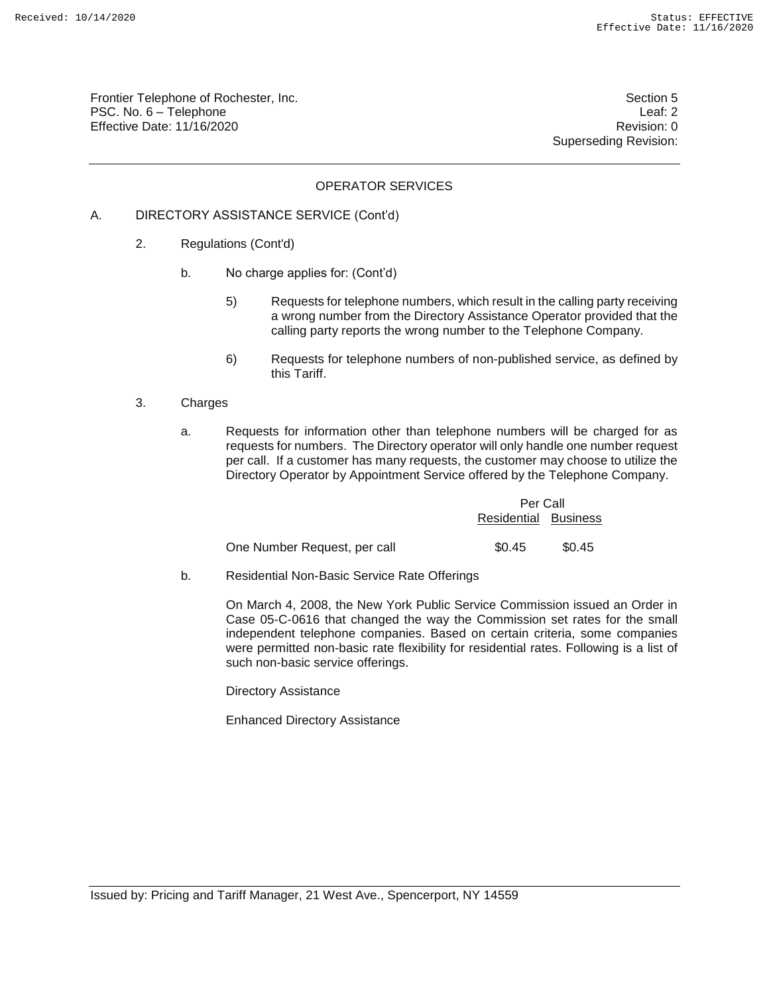Frontier Telephone of Rochester, Inc. Section 5 PSC. No. 6 – Telephone Leaf: 2 Effective Date: 11/16/2020 **Review Accounts** Effective Date: 0

Superseding Revision:

## OPERATOR SERVICES

### A. DIRECTORY ASSISTANCE SERVICE (Cont'd)

- 2. Regulations (Cont'd)
	- b. No charge applies for: (Cont'd)
		- 5) Requests for telephone numbers, which result in the calling party receiving a wrong number from the Directory Assistance Operator provided that the calling party reports the wrong number to the Telephone Company.
		- 6) Requests for telephone numbers of non-published service, as defined by this Tariff.

#### 3. Charges

a. Requests for information other than telephone numbers will be charged for as requests for numbers. The Directory operator will only handle one number request per call. If a customer has many requests, the customer may choose to utilize the Directory Operator by Appointment Service offered by the Telephone Company.

|                              | Per Call             |        |
|------------------------------|----------------------|--------|
|                              | Residential Business |        |
| One Number Request, per call | \$0.45               | \$0.45 |

b. Residential Non-Basic Service Rate Offerings

On March 4, 2008, the New York Public Service Commission issued an Order in Case 05-C-0616 that changed the way the Commission set rates for the small independent telephone companies. Based on certain criteria, some companies were permitted non-basic rate flexibility for residential rates. Following is a list of such non-basic service offerings.

Directory Assistance

Enhanced Directory Assistance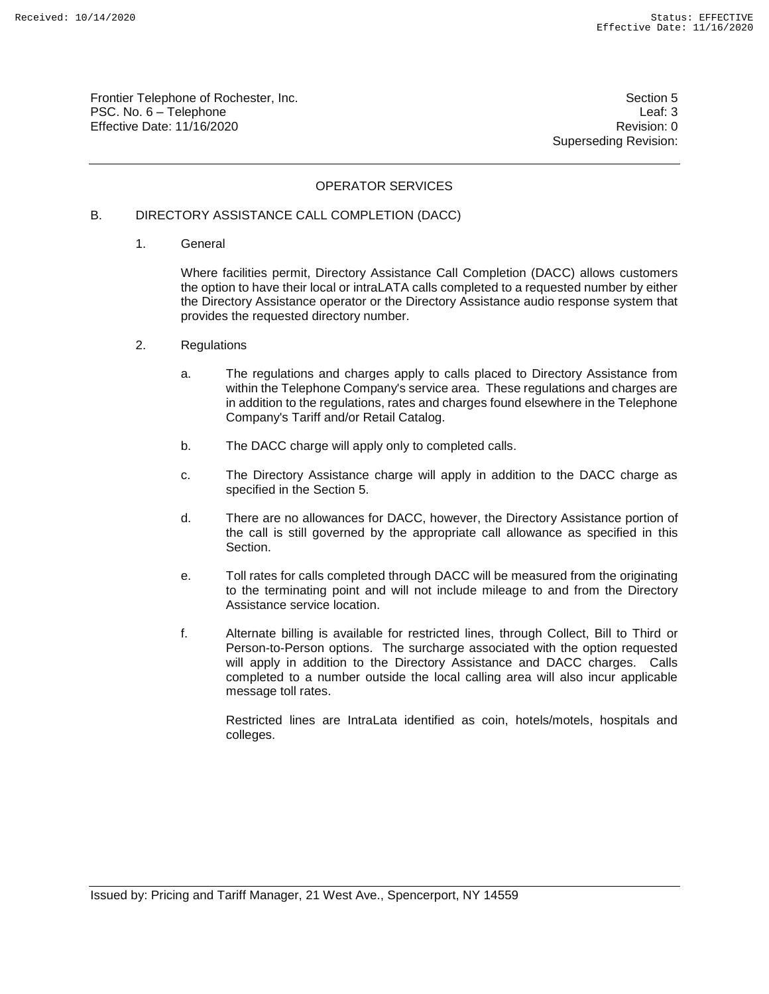Frontier Telephone of Rochester, Inc. Section 5 PSC. No. 6 – Telephone Leaf: 3 Effective Date: 11/16/2020 **Review Accounts** Effective Date: 0

Superseding Revision:

## OPERATOR SERVICES

### B. DIRECTORY ASSISTANCE CALL COMPLETION (DACC)

1. General

Where facilities permit, Directory Assistance Call Completion (DACC) allows customers the option to have their local or intraLATA calls completed to a requested number by either the Directory Assistance operator or the Directory Assistance audio response system that provides the requested directory number.

- 2. Regulations
	- a. The regulations and charges apply to calls placed to Directory Assistance from within the Telephone Company's service area. These regulations and charges are in addition to the regulations, rates and charges found elsewhere in the Telephone Company's Tariff and/or Retail Catalog.
	- b. The DACC charge will apply only to completed calls.
	- c. The Directory Assistance charge will apply in addition to the DACC charge as specified in the Section 5.
	- d. There are no allowances for DACC, however, the Directory Assistance portion of the call is still governed by the appropriate call allowance as specified in this Section.
	- e. Toll rates for calls completed through DACC will be measured from the originating to the terminating point and will not include mileage to and from the Directory Assistance service location.
	- f. Alternate billing is available for restricted lines, through Collect, Bill to Third or Person-to-Person options. The surcharge associated with the option requested will apply in addition to the Directory Assistance and DACC charges. Calls completed to a number outside the local calling area will also incur applicable message toll rates.

Restricted lines are IntraLata identified as coin, hotels/motels, hospitals and colleges.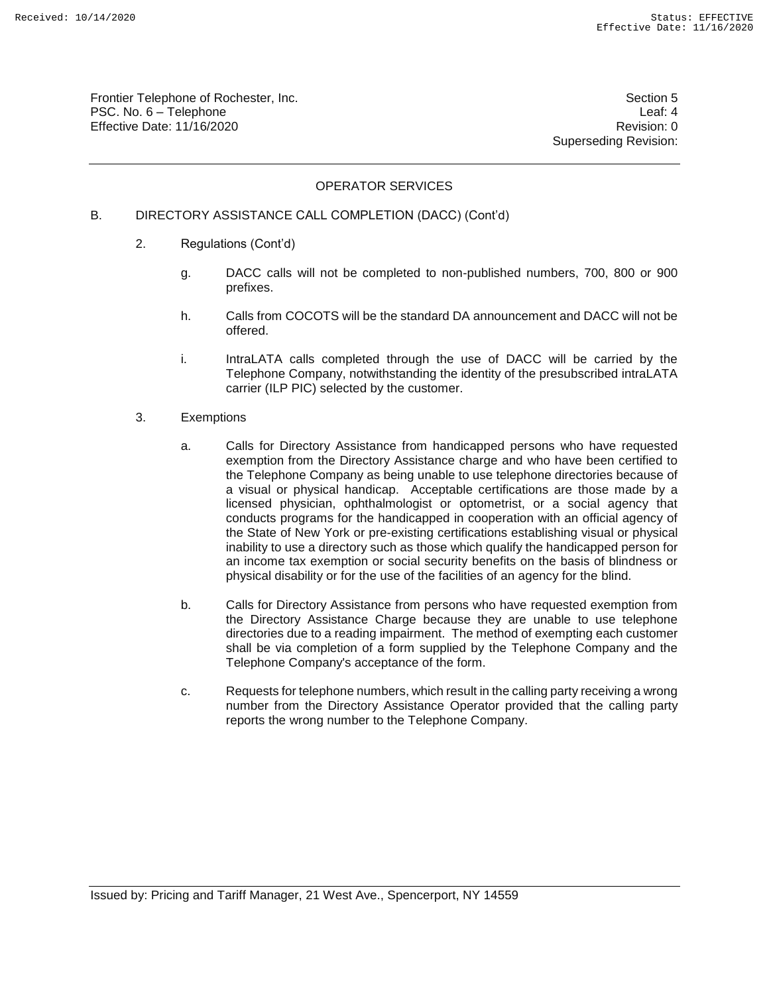Frontier Telephone of Rochester, Inc. Section 5 PSC. No. 6 – Telephone Leaf: 4 Effective Date: 11/16/2020 **Review Accounts** Effective Date: 0

Superseding Revision:

### OPERATOR SERVICES

### B. DIRECTORY ASSISTANCE CALL COMPLETION (DACC) (Cont'd)

- 2. Regulations (Cont'd)
	- g. DACC calls will not be completed to non-published numbers, 700, 800 or 900 prefixes.
	- h. Calls from COCOTS will be the standard DA announcement and DACC will not be offered.
	- i. IntraLATA calls completed through the use of DACC will be carried by the Telephone Company, notwithstanding the identity of the presubscribed intraLATA carrier (ILP PIC) selected by the customer.
- 3. Exemptions
	- a. Calls for Directory Assistance from handicapped persons who have requested exemption from the Directory Assistance charge and who have been certified to the Telephone Company as being unable to use telephone directories because of a visual or physical handicap. Acceptable certifications are those made by a licensed physician, ophthalmologist or optometrist, or a social agency that conducts programs for the handicapped in cooperation with an official agency of the State of New York or pre-existing certifications establishing visual or physical inability to use a directory such as those which qualify the handicapped person for an income tax exemption or social security benefits on the basis of blindness or physical disability or for the use of the facilities of an agency for the blind.
	- b. Calls for Directory Assistance from persons who have requested exemption from the Directory Assistance Charge because they are unable to use telephone directories due to a reading impairment. The method of exempting each customer shall be via completion of a form supplied by the Telephone Company and the Telephone Company's acceptance of the form.
	- c. Requests for telephone numbers, which result in the calling party receiving a wrong number from the Directory Assistance Operator provided that the calling party reports the wrong number to the Telephone Company.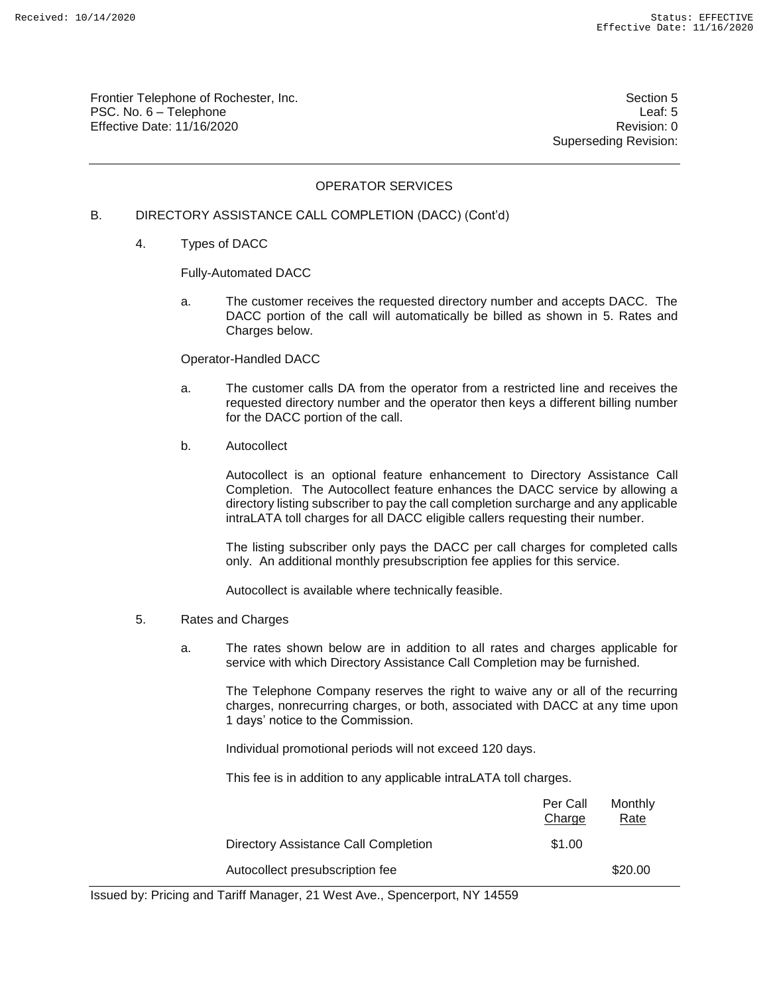Frontier Telephone of Rochester, Inc. Section 5 PSC. No. 6 – Telephone Leaf: 5 Effective Date: 11/16/2020 **Review Accounts** Effective Date: 0

Superseding Revision:

### OPERATOR SERVICES

### B. DIRECTORY ASSISTANCE CALL COMPLETION (DACC) (Cont'd)

4. Types of DACC

Fully-Automated DACC

a. The customer receives the requested directory number and accepts DACC. The DACC portion of the call will automatically be billed as shown in 5. Rates and Charges below.

#### Operator-Handled DACC

- a. The customer calls DA from the operator from a restricted line and receives the requested directory number and the operator then keys a different billing number for the DACC portion of the call.
- b. Autocollect

Autocollect is an optional feature enhancement to Directory Assistance Call Completion. The Autocollect feature enhances the DACC service by allowing a directory listing subscriber to pay the call completion surcharge and any applicable intraLATA toll charges for all DACC eligible callers requesting their number.

The listing subscriber only pays the DACC per call charges for completed calls only. An additional monthly presubscription fee applies for this service.

Autocollect is available where technically feasible.

- 5. Rates and Charges
	- a. The rates shown below are in addition to all rates and charges applicable for service with which Directory Assistance Call Completion may be furnished.

The Telephone Company reserves the right to waive any or all of the recurring charges, nonrecurring charges, or both, associated with DACC at any time upon 1 days' notice to the Commission.

Individual promotional periods will not exceed 120 days.

This fee is in addition to any applicable intraLATA toll charges.

|                                      | Per Call<br>Charge | Monthly<br>Rate |
|--------------------------------------|--------------------|-----------------|
| Directory Assistance Call Completion | \$1.00             |                 |
| Autocollect presubscription fee      |                    | \$20.00         |

Issued by: Pricing and Tariff Manager, 21 West Ave., Spencerport, NY 14559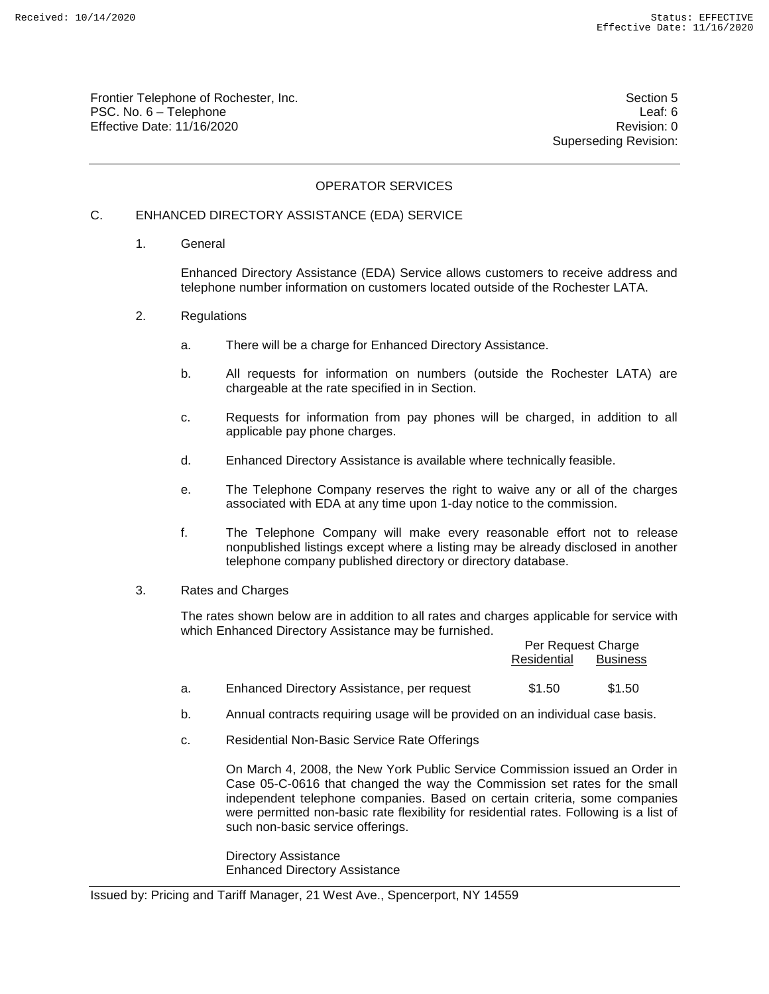Frontier Telephone of Rochester, Inc. Section 5 PSC. No. 6 – Telephone Leaf: 6 Effective Date: 11/16/2020 **Review Account 2018** Revision: 0

Superseding Revision:

### OPERATOR SERVICES

# C. ENHANCED DIRECTORY ASSISTANCE (EDA) SERVICE

1. General

Enhanced Directory Assistance (EDA) Service allows customers to receive address and telephone number information on customers located outside of the Rochester LATA.

- 2. Regulations
	- a. There will be a charge for Enhanced Directory Assistance.
	- b. All requests for information on numbers (outside the Rochester LATA) are chargeable at the rate specified in in Section.
	- c. Requests for information from pay phones will be charged, in addition to all applicable pay phone charges.
	- d. Enhanced Directory Assistance is available where technically feasible.
	- e. The Telephone Company reserves the right to waive any or all of the charges associated with EDA at any time upon 1-day notice to the commission.
	- f. The Telephone Company will make every reasonable effort not to release nonpublished listings except where a listing may be already disclosed in another telephone company published directory or directory database.
- 3. Rates and Charges

The rates shown below are in addition to all rates and charges applicable for service with which Enhanced Directory Assistance may be furnished.

|    |                                            | Per Request Charge |                 |
|----|--------------------------------------------|--------------------|-----------------|
|    |                                            | Residential        | <b>Business</b> |
| a. | Enhanced Directory Assistance, per request | \$1.50             | \$1.50          |

- b. Annual contracts requiring usage will be provided on an individual case basis.
- c. Residential Non-Basic Service Rate Offerings

On March 4, 2008, the New York Public Service Commission issued an Order in Case 05-C-0616 that changed the way the Commission set rates for the small independent telephone companies. Based on certain criteria, some companies were permitted non-basic rate flexibility for residential rates. Following is a list of such non-basic service offerings.

Directory Assistance Enhanced Directory Assistance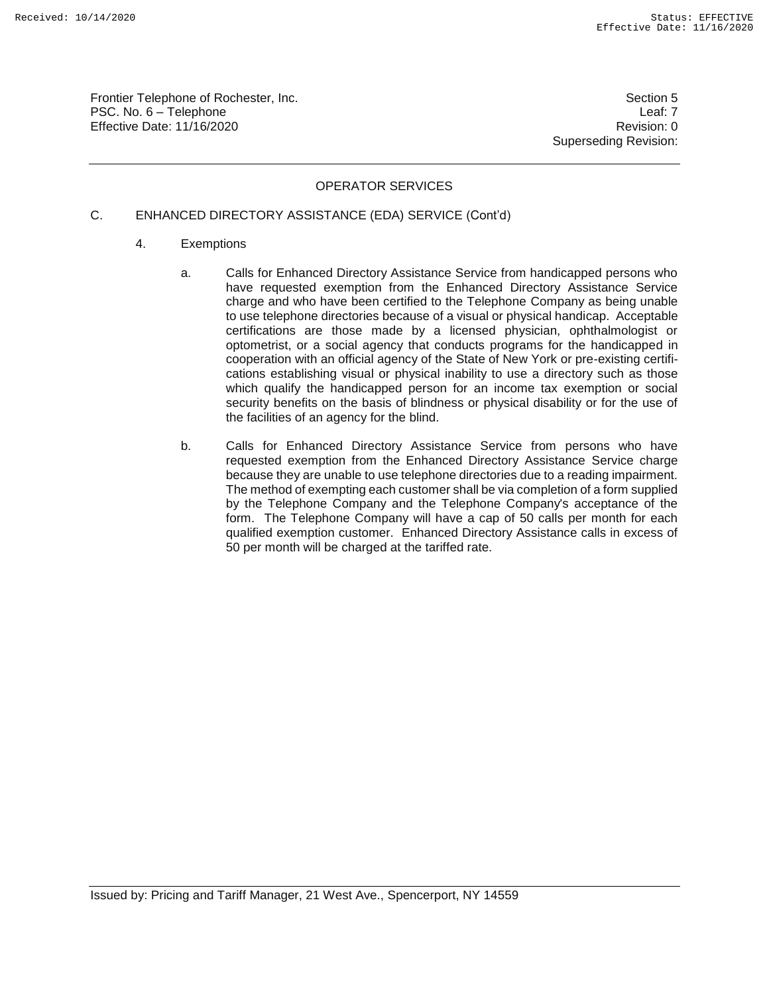Frontier Telephone of Rochester, Inc. Section 5 PSC. No. 6 – Telephone Leaf: 7 Effective Date: 11/16/2020 **Review Accounts** Effective Date: 0

Superseding Revision:

# OPERATOR SERVICES

#### C. ENHANCED DIRECTORY ASSISTANCE (EDA) SERVICE (Cont'd)

- 4. Exemptions
	- a. Calls for Enhanced Directory Assistance Service from handicapped persons who have requested exemption from the Enhanced Directory Assistance Service charge and who have been certified to the Telephone Company as being unable to use telephone directories because of a visual or physical handicap. Acceptable certifications are those made by a licensed physician, ophthalmologist or optometrist, or a social agency that conducts programs for the handicapped in cooperation with an official agency of the State of New York or pre-existing certifications establishing visual or physical inability to use a directory such as those which qualify the handicapped person for an income tax exemption or social security benefits on the basis of blindness or physical disability or for the use of the facilities of an agency for the blind.
	- b. Calls for Enhanced Directory Assistance Service from persons who have requested exemption from the Enhanced Directory Assistance Service charge because they are unable to use telephone directories due to a reading impairment. The method of exempting each customer shall be via completion of a form supplied by the Telephone Company and the Telephone Company's acceptance of the form. The Telephone Company will have a cap of 50 calls per month for each qualified exemption customer. Enhanced Directory Assistance calls in excess of 50 per month will be charged at the tariffed rate.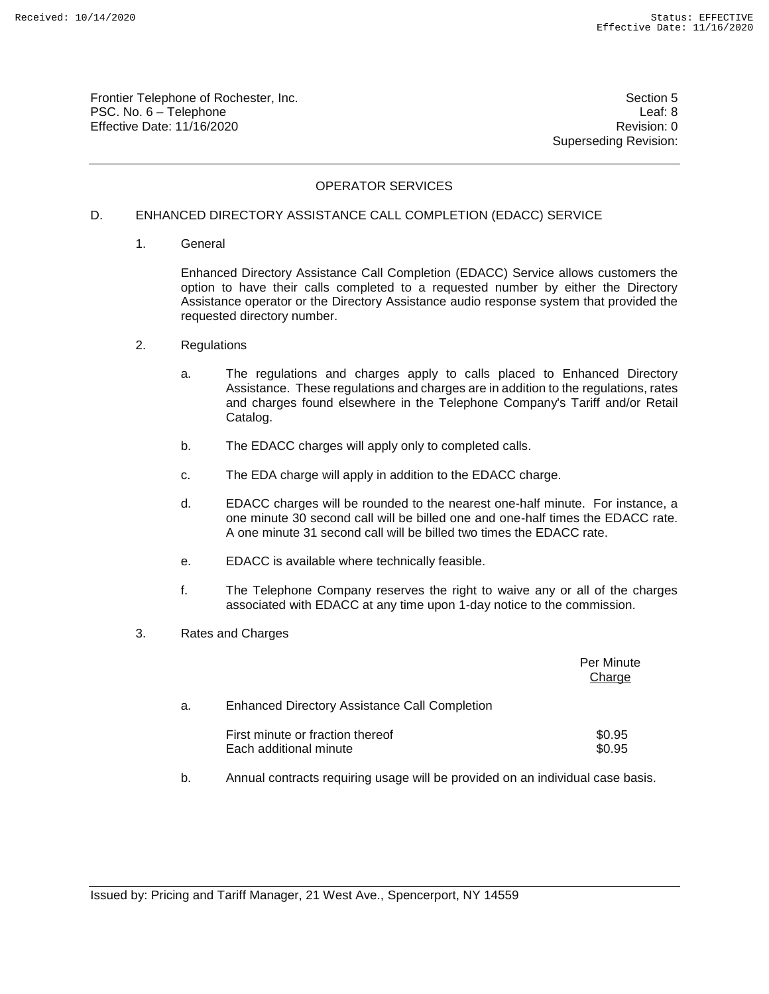Frontier Telephone of Rochester, Inc. Section 5 PSC. No. 6 – Telephone Leaf: 8 Effective Date: 11/16/2020 **Review Accounts** Effective Date: 0

Superseding Revision:

## OPERATOR SERVICES

#### D. ENHANCED DIRECTORY ASSISTANCE CALL COMPLETION (EDACC) SERVICE

1. General

Enhanced Directory Assistance Call Completion (EDACC) Service allows customers the option to have their calls completed to a requested number by either the Directory Assistance operator or the Directory Assistance audio response system that provided the requested directory number.

- 2. Regulations
	- a. The regulations and charges apply to calls placed to Enhanced Directory Assistance. These regulations and charges are in addition to the regulations, rates and charges found elsewhere in the Telephone Company's Tariff and/or Retail Catalog.
	- b. The EDACC charges will apply only to completed calls.
	- c. The EDA charge will apply in addition to the EDACC charge.
	- d. EDACC charges will be rounded to the nearest one-half minute. For instance, a one minute 30 second call will be billed one and one-half times the EDACC rate. A one minute 31 second call will be billed two times the EDACC rate.
	- e. EDACC is available where technically feasible.
	- f. The Telephone Company reserves the right to waive any or all of the charges associated with EDACC at any time upon 1-day notice to the commission.
- 3. Rates and Charges

|    |                                                            | Per Minute<br>Charge |
|----|------------------------------------------------------------|----------------------|
| а. | <b>Enhanced Directory Assistance Call Completion</b>       |                      |
|    | First minute or fraction thereof<br>Each additional minute | \$0.95<br>\$0.95     |

b. Annual contracts requiring usage will be provided on an individual case basis.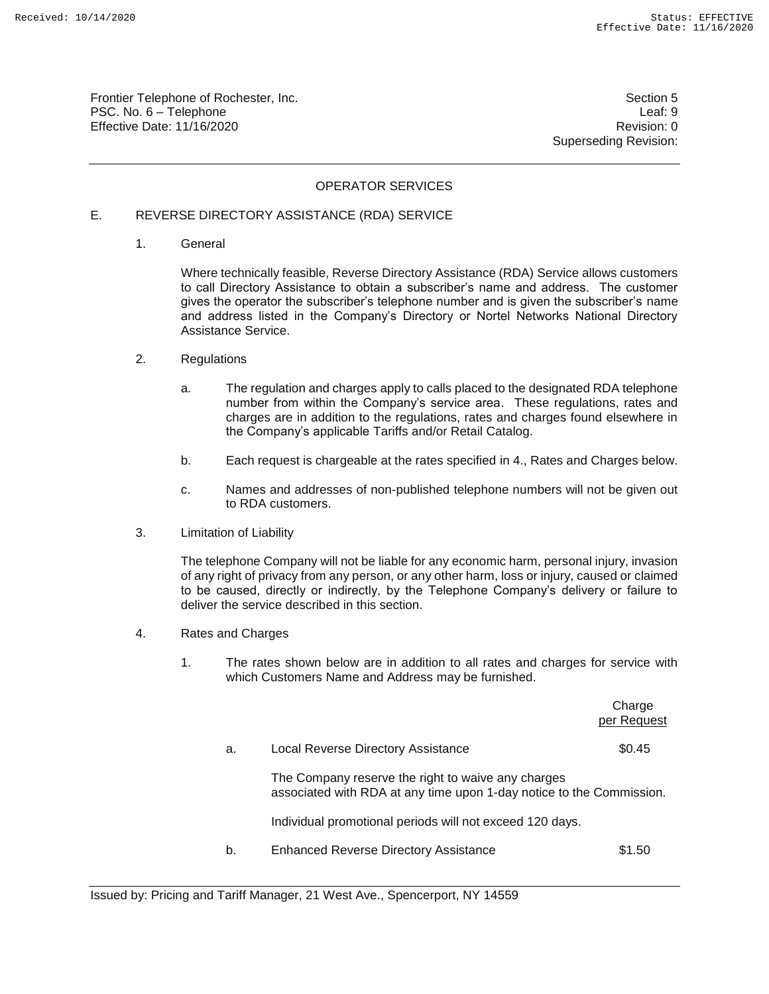Frontier Telephone of Rochester, Inc. Section 5 PSC. No. 6 – Telephone Leaf: 9 Effective Date: 11/16/2020 **Review Accounts** Effective Date: 0

Superseding Revision:

### OPERATOR SERVICES

## E. REVERSE DIRECTORY ASSISTANCE (RDA) SERVICE

1. General

Where technically feasible, Reverse Directory Assistance (RDA) Service allows customers to call Directory Assistance to obtain a subscriber's name and address. The customer gives the operator the subscriber's telephone number and is given the subscriber's name and address listed in the Company's Directory or Nortel Networks National Directory Assistance Service.

- 2. Regulations
	- a. The regulation and charges apply to calls placed to the designated RDA telephone number from within the Company's service area. These regulations, rates and charges are in addition to the regulations, rates and charges found elsewhere in the Company's applicable Tariffs and/or Retail Catalog.
	- b. Each request is chargeable at the rates specified in 4., Rates and Charges below.
	- c. Names and addresses of non-published telephone numbers will not be given out to RDA customers.
- 3. Limitation of Liability

The telephone Company will not be liable for any economic harm, personal injury, invasion of any right of privacy from any person, or any other harm, loss or injury, caused or claimed to be caused, directly or indirectly, by the Telephone Company's delivery or failure to deliver the service described in this section.

- 4. Rates and Charges
	- 1. The rates shown below are in addition to all rates and charges for service with which Customers Name and Address may be furnished.

|    |                                                                                                                            | Charge<br>per Request |
|----|----------------------------------------------------------------------------------------------------------------------------|-----------------------|
| a. | Local Reverse Directory Assistance                                                                                         | \$0.45                |
|    | The Company reserve the right to waive any charges<br>associated with RDA at any time upon 1-day notice to the Commission. |                       |
|    | Individual promotional periods will not exceed 120 days.                                                                   |                       |
| b. | <b>Enhanced Reverse Directory Assistance</b>                                                                               | \$1.50                |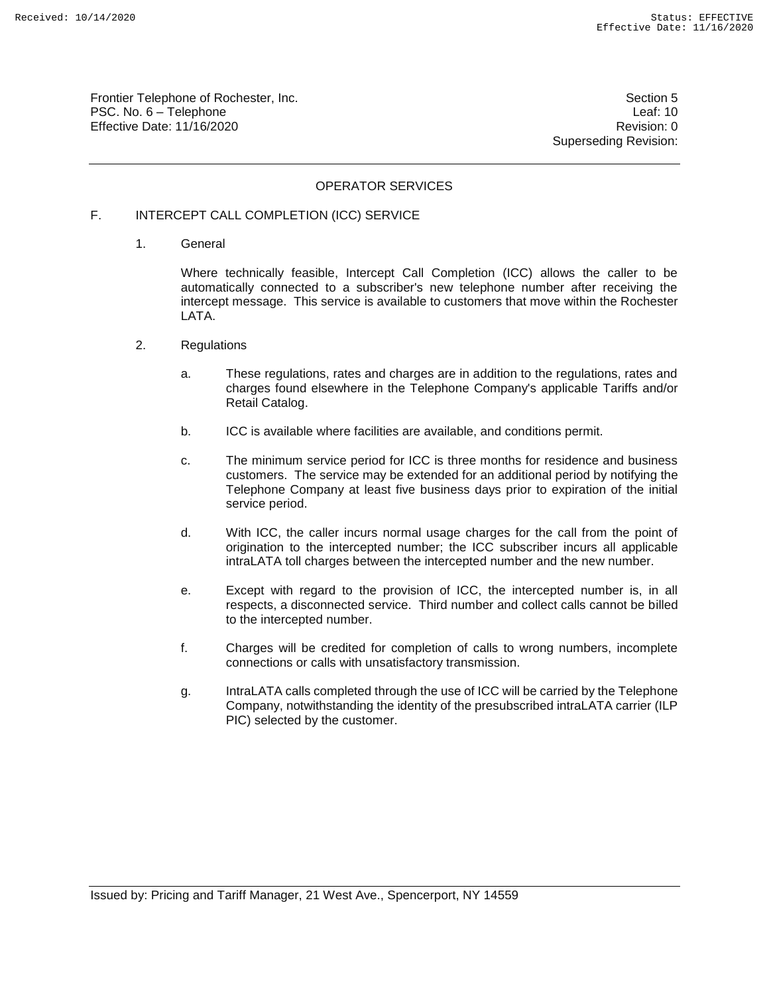Frontier Telephone of Rochester, Inc. Section 5 PSC. No. 6 – Telephone Leaf: 10 Effective Date: 11/16/2020 **Review Accounts** Effective Date: 0

Superseding Revision:

### OPERATOR SERVICES

## F. INTERCEPT CALL COMPLETION (ICC) SERVICE

1. General

Where technically feasible, Intercept Call Completion (ICC) allows the caller to be automatically connected to a subscriber's new telephone number after receiving the intercept message. This service is available to customers that move within the Rochester LATA.

- 2. Regulations
	- a. These regulations, rates and charges are in addition to the regulations, rates and charges found elsewhere in the Telephone Company's applicable Tariffs and/or Retail Catalog.
	- b. ICC is available where facilities are available, and conditions permit.
	- c. The minimum service period for ICC is three months for residence and business customers. The service may be extended for an additional period by notifying the Telephone Company at least five business days prior to expiration of the initial service period.
	- d. With ICC, the caller incurs normal usage charges for the call from the point of origination to the intercepted number; the ICC subscriber incurs all applicable intraLATA toll charges between the intercepted number and the new number.
	- e. Except with regard to the provision of ICC, the intercepted number is, in all respects, a disconnected service. Third number and collect calls cannot be billed to the intercepted number.
	- f. Charges will be credited for completion of calls to wrong numbers, incomplete connections or calls with unsatisfactory transmission.
	- g. IntraLATA calls completed through the use of ICC will be carried by the Telephone Company, notwithstanding the identity of the presubscribed intraLATA carrier (ILP PIC) selected by the customer.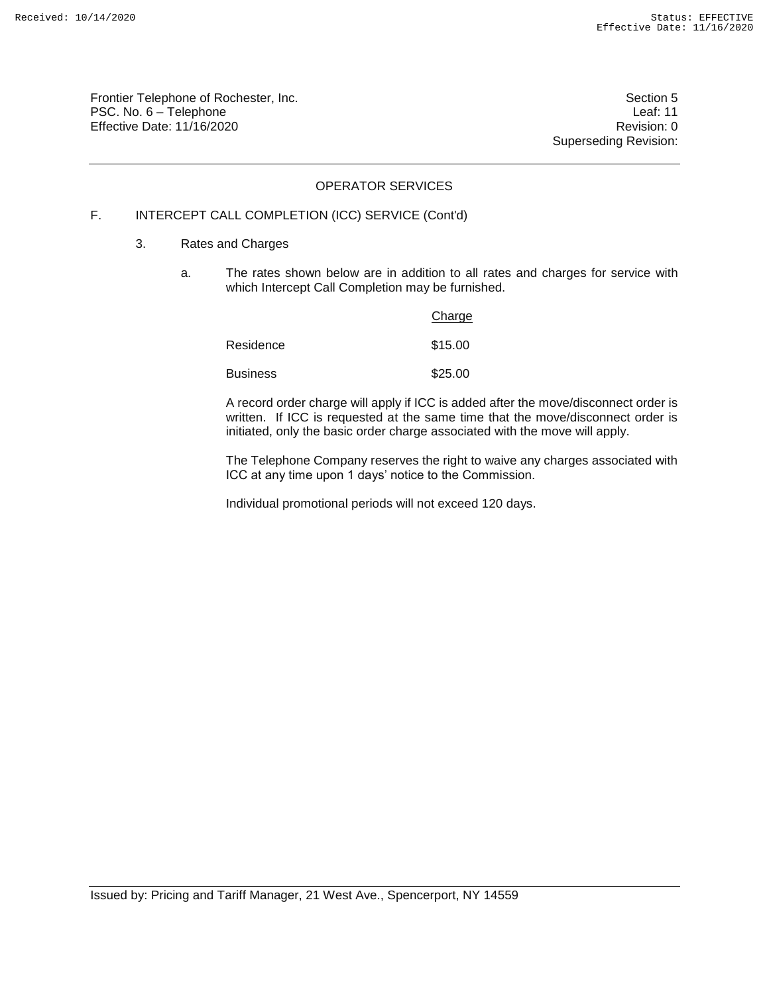Frontier Telephone of Rochester, Inc. Section 5 PSC. No. 6 – Telephone Leaf: 11 Effective Date: 11/16/2020 Revision: 0

Superseding Revision:

# OPERATOR SERVICES

## F. INTERCEPT CALL COMPLETION (ICC) SERVICE (Cont'd)

- 3. Rates and Charges
	- a. The rates shown below are in addition to all rates and charges for service with which Intercept Call Completion may be furnished.

|                 | Charge  |
|-----------------|---------|
| Residence       | \$15.00 |
| <b>Business</b> | \$25.00 |

A record order charge will apply if ICC is added after the move/disconnect order is written. If ICC is requested at the same time that the move/disconnect order is initiated, only the basic order charge associated with the move will apply.

The Telephone Company reserves the right to waive any charges associated with ICC at any time upon 1 days' notice to the Commission.

Individual promotional periods will not exceed 120 days.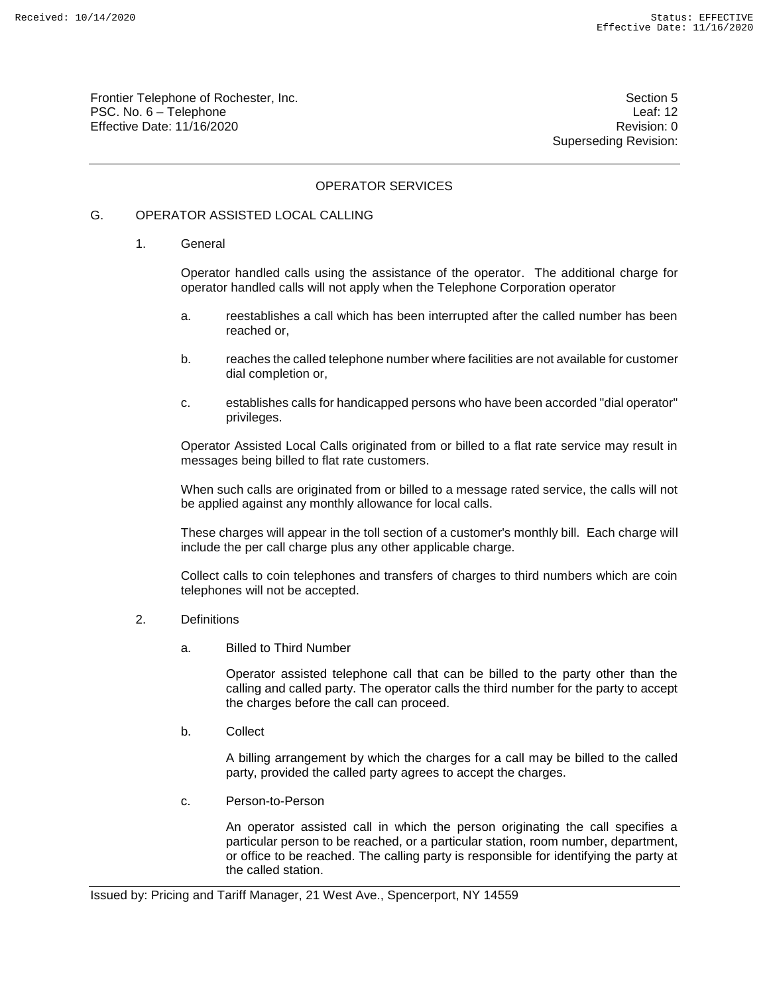Frontier Telephone of Rochester, Inc. Section 5 PSC. No. 6 – Telephone Leaf: 12 Effective Date: 11/16/2020 **Review Accounts** Effective Date: 0

Superseding Revision:

### OPERATOR SERVICES

### G. OPERATOR ASSISTED LOCAL CALLING

1. General

Operator handled calls using the assistance of the operator. The additional charge for operator handled calls will not apply when the Telephone Corporation operator

- a. reestablishes a call which has been interrupted after the called number has been reached or,
- b. reaches the called telephone number where facilities are not available for customer dial completion or,
- c. establishes calls for handicapped persons who have been accorded "dial operator" privileges.

Operator Assisted Local Calls originated from or billed to a flat rate service may result in messages being billed to flat rate customers.

When such calls are originated from or billed to a message rated service, the calls will not be applied against any monthly allowance for local calls.

These charges will appear in the toll section of a customer's monthly bill. Each charge will include the per call charge plus any other applicable charge.

Collect calls to coin telephones and transfers of charges to third numbers which are coin telephones will not be accepted.

- 2. Definitions
	- a. Billed to Third Number

Operator assisted telephone call that can be billed to the party other than the calling and called party. The operator calls the third number for the party to accept the charges before the call can proceed.

b. Collect

A billing arrangement by which the charges for a call may be billed to the called party, provided the called party agrees to accept the charges.

c. Person-to-Person

An operator assisted call in which the person originating the call specifies a particular person to be reached, or a particular station, room number, department, or office to be reached. The calling party is responsible for identifying the party at the called station.